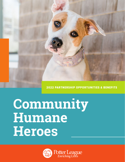2022 PARTNERSHIP OPPORTUNITIES & BENEFITS

# **Community Humane Heroes**

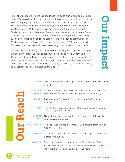The Potter League for Animals is Rhode Island's go-to animal care and resource center. We provide shelter, medical care, behavior training, spay & neuter, owner assistance programs, humane education and the opportunity for more than 1,500 animals to find loving homes each year at our Animal Care & Adoption Center located in Middletown, RI. We provide support to communities and families through our broad range of programs and services, including the Potter League Spay Neuter Clinic, located in Warwick RI, which preforms over 7,500 subsidized surgeries on dogs and cats in RI and neighboring communities in CT & MA. We provide low-cost veterinary care to over 3,500 income-qualifying Rhode Islanders at the Pets In Need Veterinary Clinic located in Riverside, RI.

Every dollar raised through our corporate underwriting and partnership program will enable the Potter League to continue its life-saving work. Becoming a Community Humane Hero is a great way to demonstrate your compassion to employees, clients and the community. With many opportunities to get involved in our animal welfare and community programs, it's easy to give back, feel good, and spotlight your philanthropic contribution.

**Our Impact Our Impact** 

|                                         | <b>WEB:</b>                    | www.potterleague.org averages over 33,000 hits and 17,000 users<br>monthly.                                                                                                    |
|-----------------------------------------|--------------------------------|--------------------------------------------------------------------------------------------------------------------------------------------------------------------------------|
|                                         | <b>SOCIAL</b><br><b>MEDIA:</b> | Currently over 56,000 loyal social media followers and 6.6 million<br>impressions across Facebook, Instagram & Twitter annually.                                               |
| dch                                     | <b>EMAIL:</b>                  | Potter Monthly E-newsletter is sent to over 16,000 recipients<br>monthly.                                                                                                      |
| J                                       | <b>PRINT:</b>                  | The Paw-Print Press printed newsletter is sent to approximately<br>20,000 supporters annually.                                                                                 |
|                                         | <b>ANIMAL</b><br><b>CARE:</b>  | Over 1,185 pets were adopted in 2021 and over 9,000 animals<br>received veterinary care.                                                                                       |
| <b>THE</b>                              | <b>COMMUNITY:</b>              | The Potter League has more than 650 volunteers donating over<br>20,000 hours of service.                                                                                       |
|                                         | <b>MEDIA:</b>                  | The Potter League receives extensive media exposure from local<br>& state-wide outlets.                                                                                        |
|                                         | <b>AWARDS:</b>                 | The Potter League has won numerous Best of Awards, The<br>Excellence in Business Award, as well as "Favorite Non-profit" and<br>many more awards and citations over the years. |
| $\mathbf{R}$ is the set of $\mathbf{r}$ |                                |                                                                                                                                                                                |

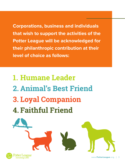**Corporations, business and individuals that wish to support the activities of the Potter League will be acknowledged for their philanthropic contribution at their level of choice as follows:**

**1. Humane Leader 2. Animal's Best Friend 3. Loyal Companion 4. Faithful Friend**

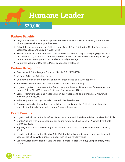## **Humane Leader \$20,000**

## **Partner Benefits**

- Dogs and Donuts or Cats and Cupcakes employee wellness visit with two (2) one-hour visits with puppies or kittens at your business.
- \* Behind-the-scenes tour of the Potter League Animal Care & Adoption Center, Pets In Need Veterinary Clinic, and Spay & Neuter Clinic
- Hosted animal welfare luncheon at your office or the Potter League for eight (8) guests with CEO Brad Shear, Shelter Veterinarian, and other leadership team members if requested. (If circumstances do not permit, this can be a virtual gathering)
- Corporate Volunteer Day at the Potter League for employees

## **Partner Recognition**

- Personalized Potter League Engraved Marble 8.5 x 11 Wall Tile
- 1/3 Page Ad in our Adoption Folder
- Company profile in one quarterly print newsletter mailed to 5,000 supporters
- Social Media Promotion: Two featured social media posts annually
- Logo recognition on signage at the Potter League's three facilities: Animal Care & Adoption Center, Pets in Need Veterinary Clinic, and Spay & Neuter Clinic
- Digital Promotion: Logo and website link on our website and on our monthly E-News with a distribution of 15,000
- In-house promotion: Logo included on the lobby digital screen
- Photo opportunity with staff and animals that have arrived at the Potter League through our Fetching Friends Transport program & name the animals

- Logo to be included in the LoveBash for Animals print and digital materials (if received by 2.1.22)
- Eight (8) tickets with table seating at our spring fundraiser, Love Bash for Animals. Event date March 25, 2022
- Eight (8) tickets with table seating at our summer fundraiser, Yappy Hour. Event date July 17, 2022
- Logo to be included in the Heart & Sole Walk for Animals materials and complimentary exhibit space at the 2022 Walk, Sunday, October 16th, in our vendor village
- Logo inclusion on the Heart & Sole Walk for Animals T-shirts & ten (10) Complimentary Walk T-shirts

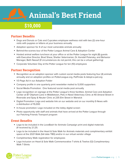

## **Partner Benefits**

- Dogs and Donuts or Cats and Cupcakes employee wellness visit with two (2) one-hour visits with puppies or kittens at your business annually
- Adoption sponsor for 4 of our most vulnerable animals annually
- **\*** Behind-the-scenes tour of the Potter League Animal Care & Adoption Center
- Hosted animal welfare luncheon at your office or at the Potter League for eight (8) quests with Executive Director, Brad Shear, Shelter Veterinarian, Dr. Kendall Polansky, and Behavior Manager, Beth Nassef (If circumstances do not permit, this can be a virtual gathering)
- Corporate Volunteer Day at the Potter League for ten (10) employees

## **Partner Recognition**

- \* Recognition as an adoption sponsor with custom social media posts featuring four (4) animals annually and on adoption profiles on PotterLeague.org, PetFinder & Adopt-a-pet.org
- 1/3 Page Ad in our Adoption Folder
- Company profile in one quarterly print newsletter mailed to 5,000 supporters
- **\*** Social Media Promotion: One featured social media post annually
- Logo recognition on signage at the Potter League's three facilities: Animal Care and Adoption Center at 87 Oliphant Lane in Middletown, Pets in Need Veterinary Clinic at 40 Amaral Street in Riverside and Spay & Neuter Clinic at 235 Elm Street in Warwick
- Digital Promotion: Logo and website link on our website and on our monthly E-News with a distribution of 15,000
- In-house promotion: Logo included on the lobby digital screen
- Photo opportunity with staff and animals that have arrived at the Potter League through our Fetching Friends Transport program

- Logo to be included in the LoveBash for Animals Campaign print and digital materials (If received by 2.1.21)
- Logo to be included in the Heart & Sole Walk for Animals materials and complimentary exhibit space at the 2021 Walk (fall date TBD) and/or in our virtual vendor village
- Complimentary Walk registration for employees
- Logo Inclusion on Heart & Sole Walk Commemorative T-shirts & Twelve (12) Complimentary Walk T-Shirts

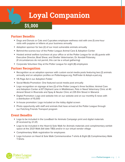## **Loyal Companion**

## **\$5,000**

## **Partner Benefits**

- \* Dogs and Donuts or Cats and Cupcakes employee wellness visit with one (1) one-hour visits with puppies or kittens at your business annually
- Adoption sponsor for two (2) of our most vulnerable animals annually
- **\*** Behind-the-scenes tour of the Potter League Animal Care & Adoption Center
- Hosted animal welfare luncheon at your office or at the Potter League for six (6) guests with Executive Director, Brad Shear, and Shelter Veterinarian, Dr. Kendall Polansky. (If circumstances do not permit, this can be a virtual gathering)
- Corporate Volunteer Day at the Potter League for eight (8) employees

## **Partner Recognition**

- $\bullet$  Recognition as an adoption sponsor with custom social media posts featuring two (2) animals annually and on adoption profiles on Potterleague.org, PetFinder & Adopt-a-pet.org
- 1/6 Page Ad in our Adoption Folder
- Social Media Promotion: One featured social media post annually
- \* Logo recognition on signage at two (2) of the Potter League's three facilities: Animal Care and Adoption Center at 87 Oliphant Lane in Middletown, Pets in Need Veterinary Clinic at 40 Amaral Street in Riverside and Spay & Neuter Clinic at 235 Elm Street in Warwick
- Digital Promotion: Logo and website link on our website and on our monthly E-news with a distribution of 15,000
- In-house promotion: Logo included on the lobby digital screen
- Photo opportunity with staff and animals that have arrived at the Potter League through our Fetching Friends Transport program

- Logo to be included in the LoveBash for Animals Campaign print and digital materials (If received by 2.1.21)
- Logo to be included in the Heart & Sole Walk for Animals materials and complimentary exhibit space at the 2021 Walk (fall date TBD) and/or in our virtual vendor village
- Complimentary Walk registration for employees
- **\*** Logo Inclusion on Heart & Sole Walk Commemorative T-shirts & Eight (8) Complimentary Walk T-Shirts

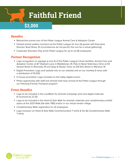

## **Benefits**

- Behind-the-scenes tour of the Potter League Animal Care & Adoption Center
- Hosted animal welfare luncheon at the Potter League for four (4) guests with Executive Director, Brad Shear. (If circumstances do not permit, this can be a virtual gathering)
- Corporate Volunteer Day at the Potter League for up to six (6) employees

## **Partner Recognition**

- Logo recognition on signage at one (1) of the Potter League's three facilities: Animal Care and Adoption Center at 87 Oliphant Lane in Middletown, RI, Pets in Need Veterinary Clinic at 40 Amaral Street in Riverside, RI and Spay & Neuter Clinic at 235 Elm Street in Warwick, RI
- Digital Promotion: Logo and website link on our website and on our monthly E-news with a distribution of 15,000
- In-house promotion: Logo included on the lobby digital screen
- Photo opportunity with staff and animals that have arrived at the Potter League through our Fetching Friends Transport program

- Logo to be included in the LoveBash for Animals Campaign print and digital materials (If received by 2.1.21)
- Logo to be included in the Heart & Sole Walk for Animals materials and complimentary exhibit space at the 2021 Walk (fall date TBD) and/or in our virtual vendor village
- Complimentary Walk registration for all employees
- Logo Inclusion on Heart & Sole Walk Commemorative T-shirts & Six (6) Complimentary Walk T-shirts

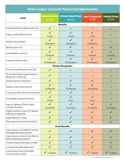| <b>Potter League Corporate Partnership Opportunities</b>                      |                                    |                                         |                                   |                                   |  |  |  |  |  |  |  |
|-------------------------------------------------------------------------------|------------------------------------|-----------------------------------------|-----------------------------------|-----------------------------------|--|--|--|--|--|--|--|
| <b>Level</b>                                                                  | <b>Humane Leader</b><br>\$20,000   | <b>Animal's Best Friend</b><br>\$10,000 | <b>Loyal Companion</b><br>\$5,000 | <b>Faithful Friend</b><br>\$3,000 |  |  |  |  |  |  |  |
| <b>Benefits</b>                                                               |                                    |                                         |                                   |                                   |  |  |  |  |  |  |  |
| Industry Exclusive at Sponsorship Level                                       | $\checkmark$                       |                                         |                                   |                                   |  |  |  |  |  |  |  |
| Puppy or Kitten Wellness Visits                                               | 4 Visits                           | 2 Visits                                | 1 Visit                           |                                   |  |  |  |  |  |  |  |
| <b>Adoption Sponsorships</b>                                                  | $\checkmark$<br><b>6 Adoptions</b> | 4 Adoptions                             | $\checkmark$<br>2 Adoptions       |                                   |  |  |  |  |  |  |  |
| <b>Behind Scenes Tour</b>                                                     |                                    |                                         |                                   |                                   |  |  |  |  |  |  |  |
| Animal Welfare Luncheon                                                       | $\checkmark$<br>10 Guests          | 8 Guests                                | $\checkmark$<br><b>6 Guests</b>   | 4 Guests                          |  |  |  |  |  |  |  |
| Corporate Volunteer Day                                                       | 15 Employees                       | 10 Employees                            | 8 Employees                       | 6 Employees                       |  |  |  |  |  |  |  |
|                                                                               |                                    | <b>Partner Recognition</b>              |                                   |                                   |  |  |  |  |  |  |  |
| One Year Logo Placement on PL Van                                             |                                    |                                         |                                   |                                   |  |  |  |  |  |  |  |
| Personalized Potter League Engraved<br>Marble 8.5 x 11 Wall Tile              |                                    |                                         |                                   |                                   |  |  |  |  |  |  |  |
| <b>Adoption Sponsor Promotions</b>                                            |                                    |                                         |                                   |                                   |  |  |  |  |  |  |  |
| <b>Adoption Folder Advertisement</b>                                          | 1/3 Page Ad                        | 1/3 Page Ad                             | 1/6 Page Ad                       |                                   |  |  |  |  |  |  |  |
| Company Profile in One Print Newsletter                                       |                                    |                                         |                                   |                                   |  |  |  |  |  |  |  |
| Social Media Featured Promotion                                               | 2 Posts                            | ✔<br>1 Post                             | 1 Post                            |                                   |  |  |  |  |  |  |  |
| Logo on Signage at Potter League<br><b>Locations Annually</b>                 | 3 Locations                        | 3 Locations                             | 2 Locations                       | 2 Locations                       |  |  |  |  |  |  |  |
| Digital Promotion: Logo on PL Website<br>& Monthly E-Newsletter               |                                    | $\checkmark$                            |                                   |                                   |  |  |  |  |  |  |  |
| Digital Signage in Lobby                                                      | $\checkmark$                       |                                         |                                   |                                   |  |  |  |  |  |  |  |
| Photo opportunity with Animals/Staff                                          |                                    |                                         |                                   |                                   |  |  |  |  |  |  |  |
| <b>Event Benefits</b>                                                         |                                    |                                         |                                   |                                   |  |  |  |  |  |  |  |
| Logo Inclusion in LoveBash for Animals<br><b>Campaign Marketing materials</b> |                                    |                                         |                                   |                                   |  |  |  |  |  |  |  |
| Logo Inclusion in Heart & Sole Walk for<br>Animals Marketing materials        |                                    |                                         |                                   |                                   |  |  |  |  |  |  |  |
| Complimentary Exhibit Space at Walk                                           |                                    |                                         |                                   |                                   |  |  |  |  |  |  |  |
| <b>Complimentary Walk Registration</b>                                        |                                    |                                         |                                   |                                   |  |  |  |  |  |  |  |
| Logo Inclusion Heart & Sole Walk<br><b>Commemorative T-shirts</b>             | $\checkmark$ + 20 Shirts           | $\blacktriangleright$ + 12 Shirts       | $\sqrt{+8}$ Shirts                | $\sqrt{+6}$ Shirts                |  |  |  |  |  |  |  |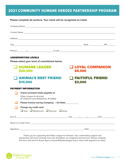## 2021 COMMUNITY HUMANE HEROES PARTNERSHIP PROGRAM

**Please complete all sections. Your name will be recognized as noted.**

|                                  | Company Name and the company of the company of the company of the company of the company of the company of the company of the company of the company of the company of the company of the company of the company of the compan |  |                                   |      |  |                        |  |  |
|----------------------------------|--------------------------------------------------------------------------------------------------------------------------------------------------------------------------------------------------------------------------------|--|-----------------------------------|------|--|------------------------|--|--|
|                                  | Contact Name experience and the second state of the second state of the second state of the second state of the second state of the second state of the second state of the second state of the second state of the second sta |  |                                   |      |  |                        |  |  |
|                                  | Address and the contract of the contract of the contract of the contract of the contract of the contract of the                                                                                                                |  |                                   |      |  |                        |  |  |
|                                  |                                                                                                                                                                                                                                |  |                                   |      |  |                        |  |  |
|                                  |                                                                                                                                                                                                                                |  |                                   |      |  |                        |  |  |
|                                  | <b>UNDERWRITING LEVELS</b>                                                                                                                                                                                                     |  |                                   |      |  |                        |  |  |
|                                  | Please select your level of commitment below.                                                                                                                                                                                  |  |                                   |      |  |                        |  |  |
| <b>SEADER</b> LEADER<br>\$20,000 |                                                                                                                                                                                                                                |  | <b>LOYAL COMPANION</b><br>\$5,000 |      |  |                        |  |  |
|                                  | <b>ANIMAL'S BEST FRIEND</b><br>\$10,000                                                                                                                                                                                        |  | \$3,000                           |      |  | <b>FAITHFUL FRIEND</b> |  |  |
|                                  | <b>PAYMENT INFORMATION</b>                                                                                                                                                                                                     |  |                                   |      |  |                        |  |  |
|                                  | Check enclosed made payable to:<br>Potter League for Animals<br>87 Oliphant Lane Middletown, RI 02842                                                                                                                          |  |                                   |      |  |                        |  |  |
|                                  | Please Invoice me/my Company - On Date:                                                                                                                                                                                        |  |                                   |      |  |                        |  |  |
|                                  | Charge my credit card:<br>$\Box$ Visa $\Box$ MasterCard $\Box$ Discover $\Box$ Amex                                                                                                                                            |  |                                   |      |  |                        |  |  |
|                                  |                                                                                                                                                                                                                                |  |                                   |      |  |                        |  |  |
|                                  |                                                                                                                                                                                                                                |  |                                   |      |  |                        |  |  |
| Signature                        |                                                                                                                                                                                                                                |  |                                   | Date |  |                        |  |  |

Thank you for supporting the Potter League for Animals. Your underwriting support and partnership will enrich animals lives and strengthen our programs and services. Please complete this form and send to Susan Ryan at SusanR@potterleague.org or return with payment as noted.